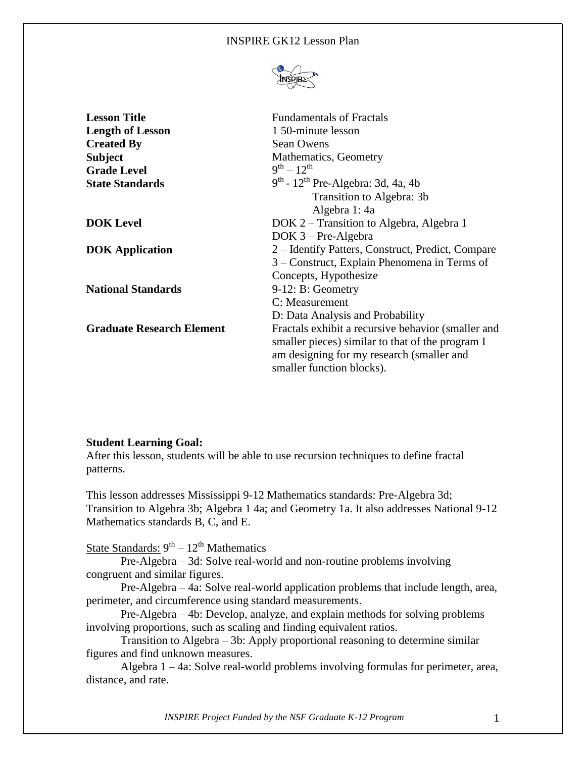#### INSPIRE GK12 Lesson Plan



| <b>Lesson Title</b>              | <b>Fundamentals of Fractals</b>                    |
|----------------------------------|----------------------------------------------------|
| <b>Length of Lesson</b>          | 1 50-minute lesson                                 |
| <b>Created By</b>                | Sean Owens                                         |
| <b>Subject</b>                   | Mathematics, Geometry                              |
| <b>Grade Level</b>               | $9^{th} - 12^{th}$                                 |
| <b>State Standards</b>           | $9th$ - 12 <sup>th</sup> Pre-Algebra: 3d, 4a, 4b   |
|                                  | Transition to Algebra: 3b                          |
|                                  | Algebra 1: 4a                                      |
| <b>DOK</b> Level                 | DOK 2 – Transition to Algebra, Algebra 1           |
|                                  | $DOK 3 - Pre-Algebra$                              |
| <b>DOK</b> Application           | 2 – Identify Patters, Construct, Predict, Compare  |
|                                  | 3 – Construct, Explain Phenomena in Terms of       |
|                                  | Concepts, Hypothesize                              |
| <b>National Standards</b>        | $9-12$ : B: Geometry                               |
|                                  | C: Measurement                                     |
|                                  | D: Data Analysis and Probability                   |
| <b>Graduate Research Element</b> | Fractals exhibit a recursive behavior (smaller and |
|                                  | smaller pieces) similar to that of the program I   |
|                                  | am designing for my research (smaller and          |
|                                  | smaller function blocks).                          |

#### **Student Learning Goal:**

After this lesson, students will be able to use recursion techniques to define fractal patterns.

This lesson addresses Mississippi 9-12 Mathematics standards: Pre-Algebra 3d; Transition to Algebra 3b; Algebra 1 4a; and Geometry 1a. It also addresses National 9-12 Mathematics standards B, C, and E.

State Standards: 9<sup>th</sup> – 12<sup>th</sup> Mathematics

Pre-Algebra – 3d: Solve real-world and non-routine problems involving congruent and similar figures.

Pre-Algebra – 4a: Solve real-world application problems that include length, area, perimeter, and circumference using standard measurements.

Pre-Algebra – 4b: Develop, analyze, and explain methods for solving problems involving proportions, such as scaling and finding equivalent ratios.

Transition to Algebra – 3b: Apply proportional reasoning to determine similar figures and find unknown measures.

Algebra 1 – 4a: Solve real-world problems involving formulas for perimeter, area, distance, and rate.

*INSPIRE Project Funded by the NSF Graduate K-12 Program* 1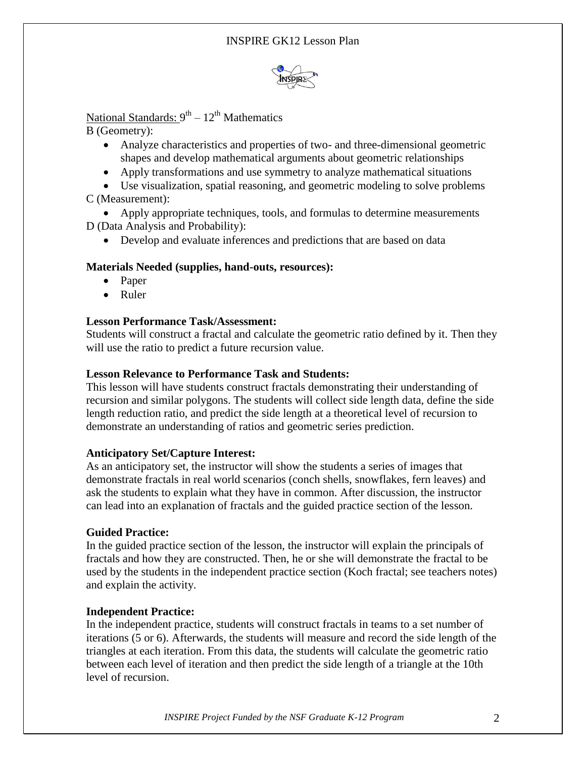

# National Standards: 9<sup>th</sup> – 12<sup>th</sup> Mathematics

B (Geometry):

- Analyze characteristics and properties of two- and three-dimensional geometric shapes and develop mathematical arguments about geometric relationships
- Apply transformations and use symmetry to analyze mathematical situations
- Use visualization, spatial reasoning, and geometric modeling to solve problems C (Measurement):
- Apply appropriate techniques, tools, and formulas to determine measurements D (Data Analysis and Probability):
	- Develop and evaluate inferences and predictions that are based on data

#### **Materials Needed (supplies, hand-outs, resources):**

- Paper
- Ruler

## **Lesson Performance Task/Assessment:**

Students will construct a fractal and calculate the geometric ratio defined by it. Then they will use the ratio to predict a future recursion value.

## **Lesson Relevance to Performance Task and Students:**

This lesson will have students construct fractals demonstrating their understanding of recursion and similar polygons. The students will collect side length data, define the side length reduction ratio, and predict the side length at a theoretical level of recursion to demonstrate an understanding of ratios and geometric series prediction.

## **Anticipatory Set/Capture Interest:**

As an anticipatory set, the instructor will show the students a series of images that demonstrate fractals in real world scenarios (conch shells, snowflakes, fern leaves) and ask the students to explain what they have in common. After discussion, the instructor can lead into an explanation of fractals and the guided practice section of the lesson.

## **Guided Practice:**

In the guided practice section of the lesson, the instructor will explain the principals of fractals and how they are constructed. Then, he or she will demonstrate the fractal to be used by the students in the independent practice section (Koch fractal; see teachers notes) and explain the activity.

## **Independent Practice:**

In the independent practice, students will construct fractals in teams to a set number of iterations (5 or 6). Afterwards, the students will measure and record the side length of the triangles at each iteration. From this data, the students will calculate the geometric ratio between each level of iteration and then predict the side length of a triangle at the 10th level of recursion.